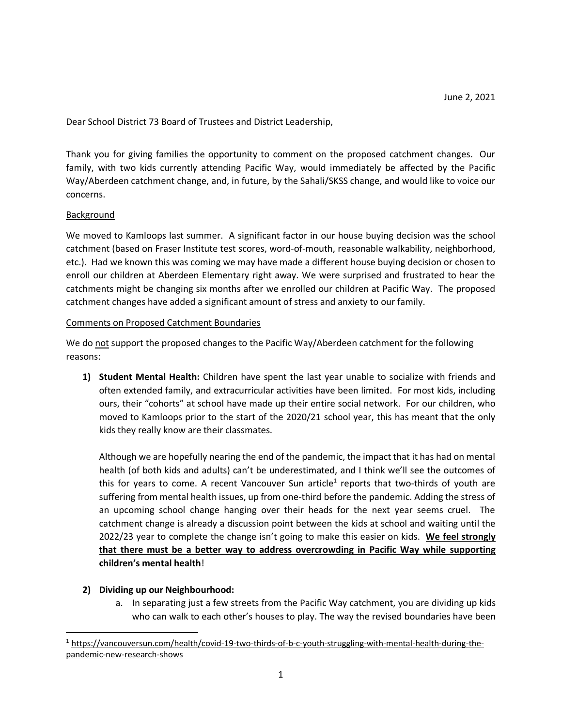Dear School District 73 Board of Trustees and District Leadership,

Thank you for giving families the opportunity to comment on the proposed catchment changes. Our family, with two kids currently attending Pacific Way, would immediately be affected by the Pacific Way/Aberdeen catchment change, and, in future, by the Sahali/SKSS change, and would like to voice our concerns.

## Background

We moved to Kamloops last summer. A significant factor in our house buying decision was the school catchment (based on Fraser Institute test scores, word-of-mouth, reasonable walkability, neighborhood, etc.). Had we known this was coming we may have made a different house buying decision or chosen to enroll our children at Aberdeen Elementary right away. We were surprised and frustrated to hear the catchments might be changing six months after we enrolled our children at Pacific Way. The proposed catchment changes have added a significant amount of stress and anxiety to our family.

## Comments on Proposed Catchment Boundaries

We do not support the proposed changes to the Pacific Way/Aberdeen catchment for the following reasons:

**1) Student Mental Health:** Children have spent the last year unable to socialize with friends and often extended family, and extracurricular activities have been limited. For most kids, including ours, their "cohorts" at school have made up their entire social network. For our children, who moved to Kamloops prior to the start of the 2020/21 school year, this has meant that the only kids they really know are their classmates.

Although we are hopefully nearing the end of the pandemic, the impact that it has had on mental health (of both kids and adults) can't be underestimated, and I think we'll see the outcomes of this for years to come. A recent Vancouver Sun article<sup>1</sup> reports that two-thirds of youth are suffering from mental health issues, up from one-third before the pandemic. Adding the stress of an upcoming school change hanging over their heads for the next year seems cruel. The catchment change is already a discussion point between the kids at school and waiting until the 2022/23 year to complete the change isn't going to make this easier on kids. **We feel strongly that there must be a better way to address overcrowding in Pacific Way while supporting children's mental health**!

# **2) Dividing up our Neighbourhood:**

a. In separating just a few streets from the Pacific Way catchment, you are dividing up kids who can walk to each other's houses to play. The way the revised boundaries have been

 <sup>1</sup> https://vancouversun.com/health/covid-19-two-thirds-of-b-c-youth-struggling-with-mental-health-during-thepandemic-new-research-shows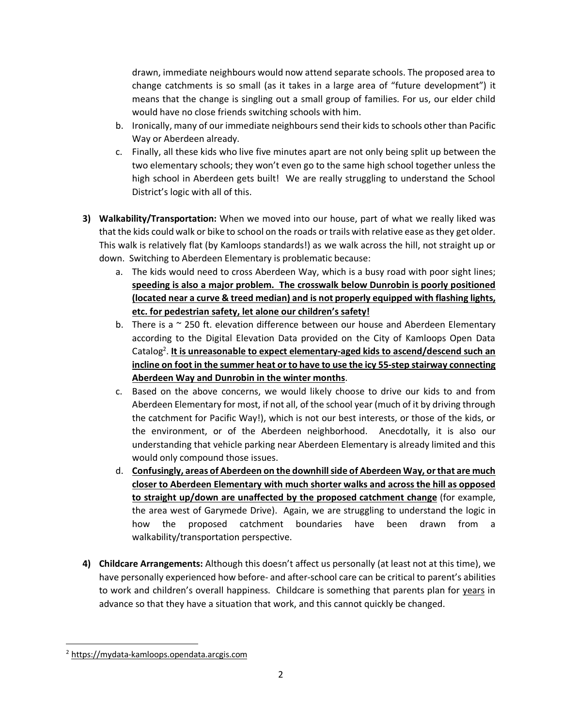drawn, immediate neighbours would now attend separate schools. The proposed area to change catchments is so small (as it takes in a large area of "future development") it means that the change is singling out a small group of families. For us, our elder child would have no close friends switching schools with him.

- b. Ironically, many of our immediate neighbours send their kids to schools other than Pacific Way or Aberdeen already.
- c. Finally, all these kids who live five minutes apart are not only being split up between the two elementary schools; they won't even go to the same high school together unless the high school in Aberdeen gets built! We are really struggling to understand the School District's logic with all of this.
- **3) Walkability/Transportation:** When we moved into our house, part of what we really liked was that the kids could walk or bike to school on the roads or trails with relative ease as they get older. This walk is relatively flat (by Kamloops standards!) as we walk across the hill, not straight up or down. Switching to Aberdeen Elementary is problematic because:
	- a. The kids would need to cross Aberdeen Way, which is a busy road with poor sight lines; **speeding is also a major problem. The crosswalk below Dunrobin is poorly positioned (located near a curve & treed median) and is not properly equipped with flashing lights, etc. for pedestrian safety, let alone our children's safety!**
	- b. There is a  $\sim$  250 ft. elevation difference between our house and Aberdeen Elementary according to the Digital Elevation Data provided on the City of Kamloops Open Data Catalog<sup>2</sup>. It is unreasonable to expect elementary-aged kids to ascend/descend such an **incline on foot in the summer heat or to have to use the icy 55-step stairway connecting Aberdeen Way and Dunrobin in the winter months**.
	- c. Based on the above concerns, we would likely choose to drive our kids to and from Aberdeen Elementary for most, if not all, of the school year (much of it by driving through the catchment for Pacific Way!), which is not our best interests, or those of the kids, or the environment, or of the Aberdeen neighborhood. Anecdotally, it is also our understanding that vehicle parking near Aberdeen Elementary is already limited and this would only compound those issues.
	- d. **Confusingly, areas of Aberdeen on the downhill side of Aberdeen Way, orthat are much closer to Aberdeen Elementary with much shorter walks and across the hill as opposed to straight up/down are unaffected by the proposed catchment change** (for example, the area west of Garymede Drive). Again, we are struggling to understand the logic in how the proposed catchment boundaries have been drawn from a walkability/transportation perspective.
- **4) Childcare Arrangements:** Although this doesn't affect us personally (at least not at this time), we have personally experienced how before- and after-school care can be critical to parent's abilities to work and children's overall happiness. Childcare is something that parents plan for years in advance so that they have a situation that work, and this cannot quickly be changed.

 <sup>2</sup> https://mydata-kamloops.opendata.arcgis.com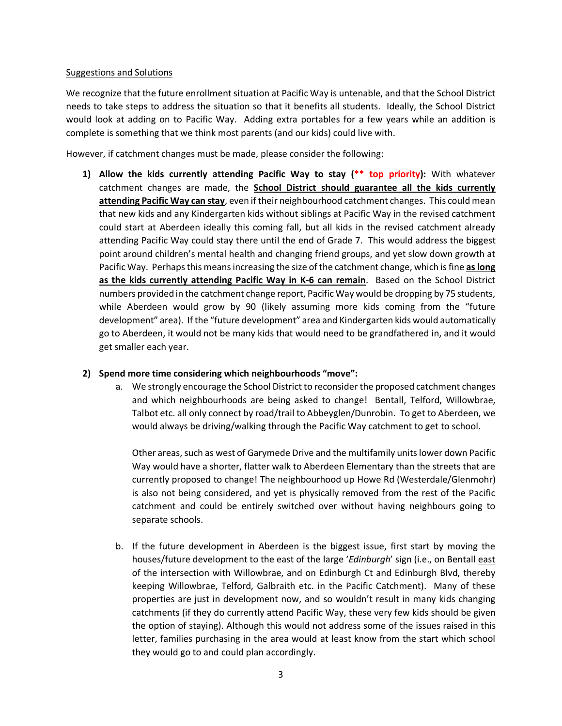## Suggestions and Solutions

We recognize that the future enrollment situation at Pacific Way is untenable, and that the School District needs to take steps to address the situation so that it benefits all students. Ideally, the School District would look at adding on to Pacific Way. Adding extra portables for a few years while an addition is complete is something that we think most parents (and our kids) could live with.

However, if catchment changes must be made, please consider the following:

**1) Allow the kids currently attending Pacific Way to stay (\*\* top priority):** With whatever catchment changes are made, the **School District should guarantee all the kids currently attending Pacific Way can stay**, even if their neighbourhood catchment changes. This could mean that new kids and any Kindergarten kids without siblings at Pacific Way in the revised catchment could start at Aberdeen ideally this coming fall, but all kids in the revised catchment already attending Pacific Way could stay there until the end of Grade 7. This would address the biggest point around children's mental health and changing friend groups, and yet slow down growth at Pacific Way. Perhaps this means increasing the size of the catchment change, which is fine **as long as the kids currently attending Pacific Way in K-6 can remain**. Based on the School District numbers provided in the catchment change report, Pacific Way would be dropping by 75 students, while Aberdeen would grow by 90 (likely assuming more kids coming from the "future development" area). If the "future development" area and Kindergarten kids would automatically go to Aberdeen, it would not be many kids that would need to be grandfathered in, and it would get smaller each year.

# **2) Spend more time considering which neighbourhoods "move":**

a. We strongly encourage the School District to reconsider the proposed catchment changes and which neighbourhoods are being asked to change! Bentall, Telford, Willowbrae, Talbot etc. all only connect by road/trail to Abbeyglen/Dunrobin. To get to Aberdeen, we would always be driving/walking through the Pacific Way catchment to get to school.

Other areas, such as west of Garymede Drive and the multifamily units lower down Pacific Way would have a shorter, flatter walk to Aberdeen Elementary than the streets that are currently proposed to change! The neighbourhood up Howe Rd (Westerdale/Glenmohr) is also not being considered, and yet is physically removed from the rest of the Pacific catchment and could be entirely switched over without having neighbours going to separate schools.

b. If the future development in Aberdeen is the biggest issue, first start by moving the houses/future development to the east of the large '*Edinburgh*' sign (i.e., on Bentall east of the intersection with Willowbrae, and on Edinburgh Ct and Edinburgh Blvd, thereby keeping Willowbrae, Telford, Galbraith etc. in the Pacific Catchment). Many of these properties are just in development now, and so wouldn't result in many kids changing catchments (if they do currently attend Pacific Way, these very few kids should be given the option of staying). Although this would not address some of the issues raised in this letter, families purchasing in the area would at least know from the start which school they would go to and could plan accordingly.